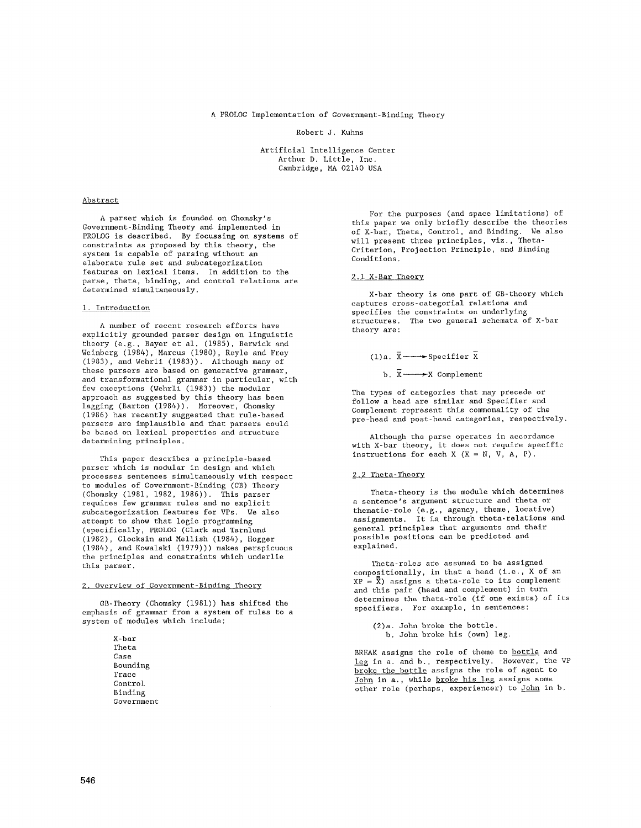A PROLOG Implementation of Government-Binding Theory

Robert J. Kuhns

Artificial Intelligence Center Arthur D. Little, Inc. Cambridge, MA 02140 USA

### Abstract

A parser which is founded on Chomsky's Government-Binding Theory and implemented in PROLOG is described. By focussing on systems of constraints as proposed by this theory, the system is capable of parsing without an elaborate rule set and subcategorization features on lexical items. In addition to the parse, theta, binding, and control relations are determined simultaneously.

### 1. Introduction

A number of recent research efforts have explicitly grounded parser design on linguistic theory (e.g., Bayer et al. (1985), Berwick and Weinberg (1984), Marcus (1980), Reyle and Frey (1983), and Wehrli (1983)). Although many of these parsers are based on generative grammar, and transformational grammar in particular, with few exceptions (Wehrli (1983)) the modular approach as suggested by this theory has been lagging (Barton (1984)). Moreover, Chomsky (1986) has recently suggested that rule-based parsers are implausible and that parsers could be based on lexical properties and structure determining principles.

This paper describes a principle-based parser which is modular in design and which processes sentences simultaneously with respect to modules of Government-Binding (GB) Theory (Chomsky (1981, 1982, 1986)). This parser requires few grammar rules and no explicit subcategorization features for VPs. We also attempt to show that logic programming (specifically, PROLOG (Clark and Tarnlund (1982), Clocksin and Mellish (1984), Hogger (1984), and Kowalski (1979))) makes perspicuous the principles and constraints which underlie this parser.

### 2. Overview of Government-Binding Theory

GB-Theory (Chomsky (1981)) has shifted the emphasis of grammar from a system of rules to a system of modules which include:

> X-bar Theta Case Bounding Trace Control Binding Government

For the purposes (and space limitations) of this paper we only briefly describe the theories of X-bar, Theta, Control, and Binding. We also will present three principles, viz., Theta-Criterion, Projection Principle, and Binding Conditions.

## 2.1 X-Bar Theory

X-bar theory is one part of GB-theory which captures eross-categorial relations and specifies the constraints on underlying structures. The two general schemata of X-bar theory are:

# $(1)a. \overline{X} \longrightarrow$ Specifier  $\overline{X}$

b.  $\overline{X} \longrightarrow X$  Complement

The types of categories that may precede or follow a head are similar and Specifier and Complement represent this commonality of the pre-head and post-head categories, respectively.

Although the parse operates in accordance with X-bar theory, it does not require specific instructions for each  $X$   $(X = N, V, A, P)$ .

### 2.2 Theta-Theory

Theta-theory is the module which determines a sentence's argument structure and theta or thematic-role (e.g., agency, theme, locative) assignments. It is through theta-relations and general principles that arguments and their possible positions can be predicted and explained.

Theta-roles are assumed to be assigned compositionally, in that a head (i.e., X of an  $XP = \overline{\overline{x}}$ ) assigns a theta-role to its complement and this pair (head and complement) in turn determines the theta-role (if one exists) of its specifiers. For example, in sentences:

(2)a. John broke the bottle. h. John broke his (own) leg.

BREAK assigns the role of theme to bottle and leg in a. and b., respectively. However, the VP broke the bottle assigns the role of agent to John in a., while broke his leg assigns some other role (perhaps, experiencer) to <u>John</u> in b.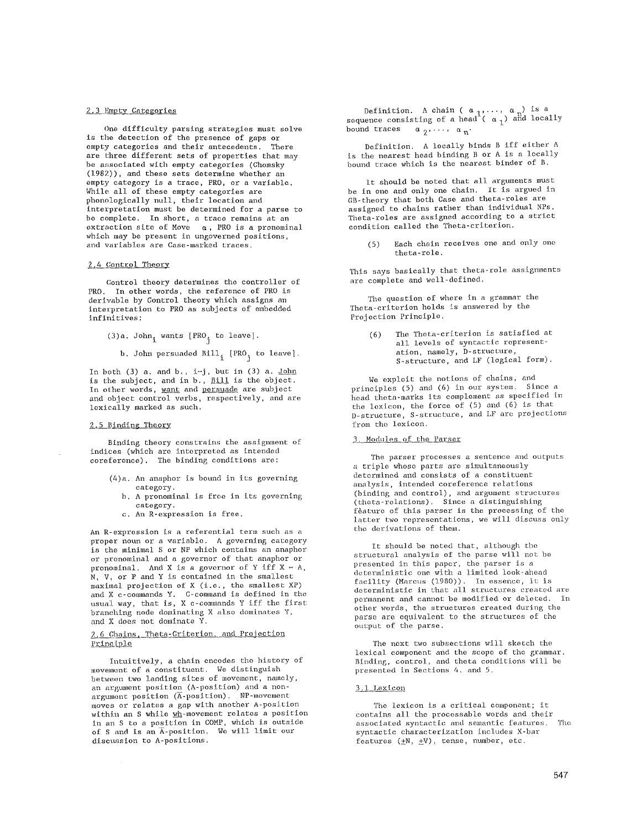### 2.3 Empty Categories

One difficulty parsing strategies must solve is the detection of the presence of gaps or empty categories and their antecedents. There are three different sets of properties that may be associated with empty categories (Chomsky (1982)), and these sets determine whether an empty category is a trace, PRO, or a variable. While all of these empty categories are phonologically null, their location and interpretation must be determined for a parse to be complete. In short, a trace remains at an extraction site of Move  $\alpha$ , PRO is a pronominal which may be present in ungoverned positions, and variables are Case-marked traces.

### 2.4 Control Theory

Control theory determines the controller of PRO. In other words, the reference of PRO is derivable by Control theory which assigns an interpretation to PRO as subjects of embedded infinitives:

(3)a. John<sub>i</sub> wants [PRO<sub>j</sub> to leave].

b. John persuaded  $Bill_{i}$  [PRO<sub>j</sub> to leave].

In both (3) a. and b.,  $i=j$ , but in (3) a. John is the subject, and in b., Bill is the object. In other words, want and persuade are subject and object control verbs, respectively, and are lexically marked as such.

## 2.5 Binding Theory

Binding theory constrains the assignment of indices (which are interpreted as intended coreference). The binding conditions are:

- (4)a. An anaphor is bound in its governing category.
	- b, A pronominal is free in its governing category.
	- e. An R-expression is free.

An R-expression is a referential term such as a proper noun or a variable. A governing category is the minimal S or NP which contains an anaphor or pronominal and a governor of that anaphor or pronominal. And X is a governor of Y iff  $X = A$ , N, V, or P and Y is contained in the smallest maximal projection of X (i.e., the smallest XP) and X c-commands Y. C-command is defined in the usual way, that is, X c-commands Y iff the first branching node dominating X also dominates Y, and X does not dominate Y.

### 2.6 Chains, Theta-Criterion, and Projection Principle

Intuitively, a chain encodes the history of movement of a constituent. We distinguish between two landing sites of movement, namely, an argument position (A-position) and a nonargument position (A-position). NP-movement moves or relates a gap with another A-position within an S while <u>wh</u>-movement relates a position in an S to a position in COMP, which is outside of S and is an A-position. We will limit our discussion to A-positions.

Definition. A chain (  $\alpha_1, \ldots, \alpha_n$ ) is a  $sequence$  consisting of a head (  $\alpha$   $_{1}$ ) and locally bound traces  $\alpha_2, \ldots, \alpha_n'$ .

Definition. A locally binds B iff either A is the nearest head binding B or A is a locally bound trace which is the nearest binder of B.

It should be noted that all arguments must be in one and only one chain. It is argued in GB-theory that both Case and theta-roles are assigned to chains rather than individual NPs. Theta-roles are assigned according to a strict condition called the Theta-criterion.

(5) Each chain receives one and only one theta-role.

This says basically that theta-role assignments are complete and well-defined.

The question of where in a grammar the Theta-criterion holds is answered by the Projection Principle.

> (6) The Theta-criterion is satisfied at all levels of syntactic representation, namely, D-structure, S-structure, and LF (logical form).

We exploit the notions of chains, and principles (5) and (6) in our system. Since a head theta-marks its complement as specified in the lexicon, the force of (5) and (6) is that D-structure, S-structure, and LF are projections from the lexicon.

#### 3. Modules of the Parser

The parser processes a sentence and outputs a triple whose parts are simultaneously determined and consists of a constituent analysis, intended coreference relations (binding and control), and argument structures *(theta-relations).* Since a distinguishing f&ature of this parser is the processing of the latter two representations, we will discuss only the derivations of them.

It should be noted that, although the structural analysis of the parse will not be presented in this paper, the parser is a deterministic one with a limited look-ahead facility (Marcus (1980)). In essence, it is deterministic in that all structures created are permanent and cannot be modified or deleted, in other words, the structures created during the parse are equivalent to the structures of the output of the parse.

The next two subsections will sketch the lexical component and the scope of the grammar, Binding, control, and theta conditions will be presented in Sections 4. and 5.

## 3.1 Lexicon

The lexicon is a critical component; it contains all the processable words and their associated syntactic and semantic features. The syntactic characterization includes X-bar features  $(\pm N, \pm V)$ , tense, number, etc.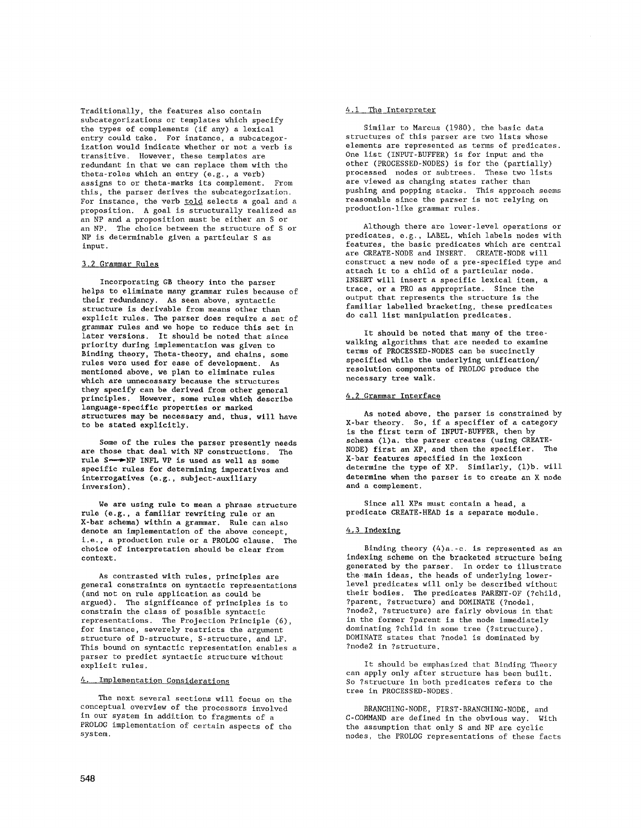Traditionally, the features also contain subcategorizations or templates which specify the types of complements (if any) a lexical entry could take. For instance, a subcategorization would indicate whether or not a verb is transitive. However, these templates are redundant in that we can replace them with the theta-roles which an entry (e.g., a verb) assigns to or theta-marks its complement. From this, the parser derives the subcategorization. For instance, the verb told selects a goal and a proposition. A goal is structurally realized as an NP and a proposition must be either an S or an NP. The choice between the structure of S or NP is determinable given a particular S as input.

## 3,2 Grammar Rules

Incorporating GB theory into the parser helps to eliminate many grammar rules because of their redundancy. As seen above, syntactic structure is derivable from means other than explicit rules. The parser does require a set of grammar rules and we hope to reduce this set in later versions. It should be noted that since priority during implementation was given to Binding theory, Theta-theory, and chains, some rules were used for ease of development. As mentioned above, we plan to eliminate rules which are unnecessary because the structures they specify can be derived from other general principles. However, some rules which describe language-speclfic properties or marked structures may be necessary and, thus, will have to be stated explicitly.

Some of the rules the parser presently needs are those that deal with NP constructions. The rule S--NP INFL VP is used as well as some specific rules for determining imperatives and interrogatives (e.g., subject-auxiliary inversion).

We are using rule to mean a phrase structure rule (e.g., a familiar rewriting rule or an X-bar schema) within a grammar. Rule can also denote an implementation of the above concept, i.e., a production rule or a PROLOG clause. The choice of interpretation should be clear from context.

As contrasted with rules, principles are general constraints on syntactic representations (and not on rule application as could be argued). The significance of principles is to constrain the class of possible syntactic representations. The Projection Principle (6), for instance, severely restricts the argument structure of D-structure, S-structure, and LF. This bound on syntactic representation enables a parser to predict syntactic structure without explicit rules.

# 4. Implementation Considerations

The next several sections will focus on the conceptual overview of the processors involved in our system in addition to fragments of a PROLOG implementation of certain aspects of the system.

### 4.1 The Interpreter

Similar to Marcus (1980), the basic data structures of this parser are two lists whose elements are represented as terms of predicates. One list (INPUT-BUFFER) is for input and the other (PROCESSED-NODES) is for the (partially) processed nodes or subtrees. These two lists are viewed as changing states rather than pushing and popping stacks. This approach seems reasonable since the parser is not relying on production-like grammar rules.

Although there are lower-level operations or predicates, e.g., LABEL, which labels nodes with features, the basic predicates which are central are CREATE-NODE and INSERT. CREATE-NODE will construct a new node of a pre-specified type and attach it to a child of a particular node. INSERT will insert a specific lexical item, a trace, or a PRO as appropriate. Since the output that represents the structure is the familiar labelled bracketing, these predicates do call list manipulation predicates.

It should be noted that many of the treewalking algorithms that are needed to examine terms of PROCESSED-NODES can be succinctly specified while the underlying unification/ resolution components of PROLOG produce the necessary tree walk.

### 4.2 Grammar Interface

As noted above, the parser is constrained by X-bar theory. So, if a specifier of a category is the first term of INPUT-BUFFER, then by schema (1)a. the parser creates (using CREATE-NODE) first an XP, and then the specifier. The X-bar features specified in the lexicon determine the type of XP. Similarly, (1)b. will determine when the parser is to create an X node and a complement.

Since all XPs must contain a head, a predicate CREATE-HEAD is a separate module.

### 4.3 Indexing

Binding theory (4)a.-e. is represented as an indexing scheme on the bracketed structure being generated by the parser. In order to illustrate the main ideas, the heads of underlying lowerlevel predicates will only be described without their bodies. The predicates PARENT-OF (?child, ?parent, ?structure) and DOMINATE (?nodel, ?node2, ?structure) are fairly obvious in that in the former ?parent is the node immediately dominating ?child in some tree (?structure). DOMINATE states that ?nodel is dominated by ?node2 in ?structure.

It should be emphasized that Binding Theory can apply only after structure has been built. So ?structure in both predicates refers to the tree in PROCESSED-NODES.

BRANCHING-NODE, FIRST-BRANCHING-NODE, and C-COMMAND are defined in the obvious way. With the assumption that only S and NP are cyclic nodes, the PROLOG representations of these facts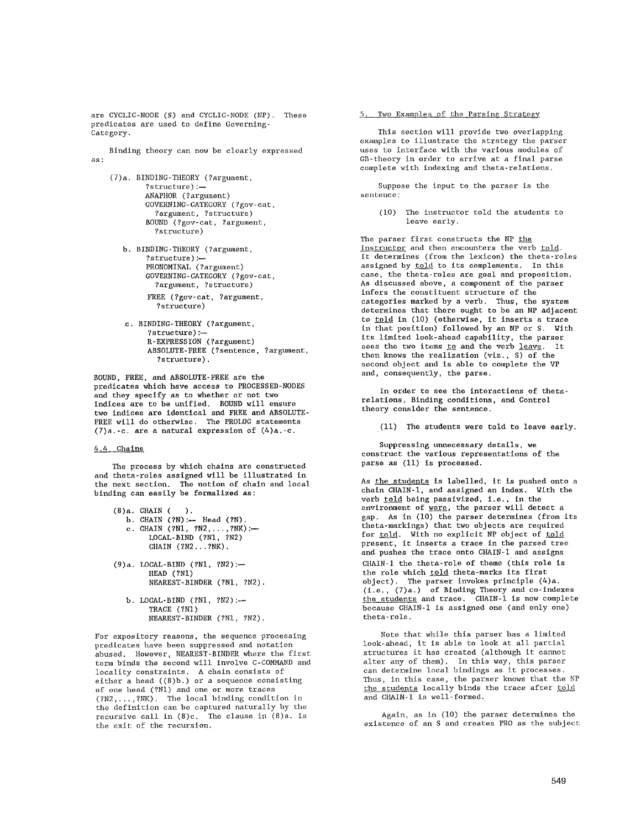are CYCLIC-NODE (S) and CYCLIC-NODE (NP). These predicates are used to define Governing-Category.

Binding theory can now be clearly expressed as:

- (7)a. BINDING-THEORY (?argument, ?structure):-ANAPHOR (?argument) GOVERNING-CATEGORY (?gov-cat, ?argument, ?structure) BOUND (?gov-cat, ?argument, ?structure)
	- b. BINDING-THEORY (?argument, ?structure):-- PRONOMINAL (?argument) GOVERNING-CATEGORY (?gov-cat, ?argument, ?structure) FREE (?gov-eat, ?argument, ?structure)
	- c. BINDING~THEORY (?argument, ?structure) :-R-EXPRESSION (?argument) ABSOLUTE-FREE (?sentence, ?argument, ?structure).

BOUND, FREE, and ABSOLUTE-FREE are the predicates which have access to PROCESSED-NODES and they specify as to whether or not two indices are to be unified. BOUND will ensure two indices are identical and FREE and ABSOLUTE-FREE will do otherwise. The PROLOG statements  $(7)a$ , -c. are a natural expression of  $(4)a$ . -c.

# 4.4 Chains

The process by which chains are constructed and theta-roles assigned will be illustrated in the next section. The notion of chain and local binding can easily be formalized as:

 $(8)a$ . CHAIN  $($ ). **b.** CHAIN (?N):-- Head (?N). c. CHAIN (?N1, ?N2,...,?NK):---LOCAL-BIND (?NI, ?N2) CHAIN (?N2...?NK).

- $(9)a.$  LOCAL-BIND  $(2N1, 2N2):$ HEAD (?NI) NEAREST-BINDER (?NI, ?N2).
	- b. LOCAL-BIND (?N1, ?N2):-TRACE (?NI) NEAREST-BINDER (?NI, ?N2).

For expository reasons, the sequence processing predicates have been suppressed and notation abused. However, NEAREST-BINDER where the first: term binds the second will involve C-COMMAND and locality constraints. A chain consists of either a head ((8)b.) or a sequence consisting of one head (?NI) and one or more traces (?N2 ..... ?NK). The local binding condition in the definition can be captured naturally by the recursive call in (8)e. The clause in (8)a. is the exit of the recursion.

## 5. Two Examples of the Parsing Strategy

This section will provide two overlapping examples to illustrate the strategy the parser uses to interface with the various modules of GB-theory in order to arrive at a final parse complete with indexing and theta-relations.

Suppose the input to the parser is the sentence:

(i0) The instructor told the students to leave early.

The parser first constructs the NP the instructor and then encounters the verb told. It determines (from the lexicon) the theta-roles assigned by told to its complements. In this case, the theta-roles are goal and proposition. As discussed above, a component of the parser infers the constituent structure of the categories marked by a verb. Thus, the system determines that there ought to be an NP adjacent to <u>told</u> in (10) (otherwise, it inserts a trace in that position) followed by an NP or S. With its limited look-ahead capability, the parser sees the two items <u>to</u> and the verb <u>leave</u>. It then knows the realization (viz., S) of the second object and is able to complete the VP and, consequently, the parse.

In order to see the interactions of thetarelations, Binding conditions, and Control theory consider the sentence.

(Ii) The students were told to leave early.

Suppressing unnecessary details, we construct the various representations of the parse as (11) is processed.

As the stndents is labelled, it is pushed onto a chain CHAIN-l, and assigned an index. With the verb told being passivized, i.e., in the environment of were, the parser will detect a gap. As in (I0) the parser determines (from its theta-markings) that two objects are required for told. With no explicit NP object of told present, it inserts a trace in the parsed tree and pushes the trace onto CHAIN-I and assigns CHAIN-I the theta-role of theme (this role is the role which told theta-marks its first object). The parser invokes principle (4)a. (i.e., (7)a.) of Binding Theory and co-indexes the students and trace. CHAIN-]. is now complete because CHAIN-I is assigned one (and only one) theta-role.

Note that while this parser has a limited look-ahead, it is able to look at all partial structures it has created (although it cannot alter any of them). In this way, this parser can determine local bindings as it processes. Thus, in this case, the parser knows that the NP the students locally binds the trace after told and CHAIN-I is well-formed.

Again, as in (I0) the parser determines the existence of an S and creates PRO as the subject